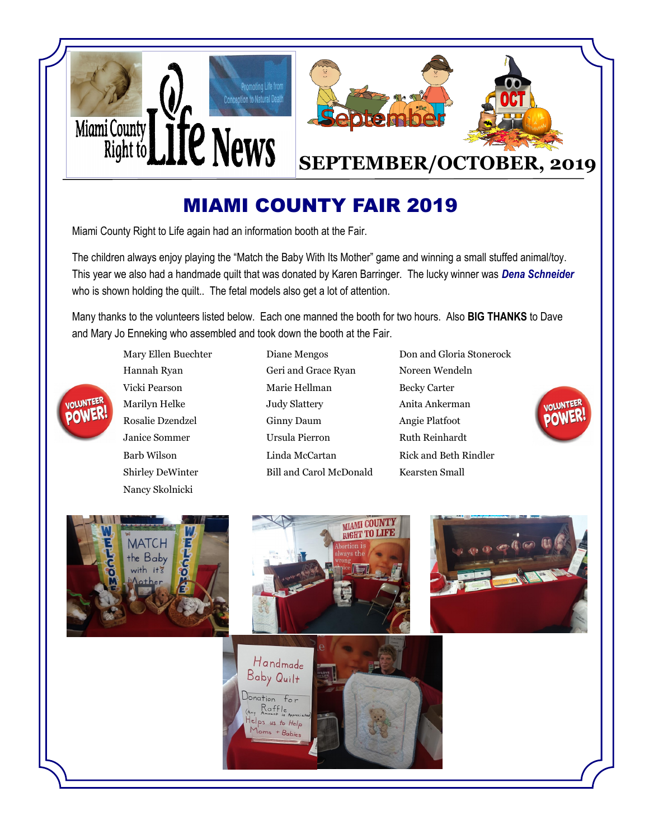

## MIAMI COUNTY FAIR 2019

Miami County Right to Life again had an information booth at the Fair.

The children always enjoy playing the "Match the Baby With Its Mother" game and winning a small stuffed animal/toy. This year we also had a handmade quilt that was donated by Karen Barringer. The lucky winner was *Dena Schneider*  who is shown holding the quilt.. The fetal models also get a lot of attention.

Many thanks to the volunteers listed below. Each one manned the booth for two hours. Also **BIG THANKS** to Dave and Mary Jo Enneking who assembled and took down the booth at the Fair.

Nancy Skolnicki

VOLUNTEE

**POWER** 

- Mary Ellen Buechter Diane Mengos Don and Gloria Stonerock Hannah Ryan Geri and Grace Ryan Noreen Wendeln Vicki Pearson Marie Hellman Becky Carter Marilyn Helke **Judy Slattery** Anita Ankerman Rosalie Dzendzel Ginny Daum Angie Platfoot Janice Sommer Ursula Pierron Ruth Reinhardt Barb Wilson Linda McCartan Rick and Beth Rindler Shirley DeWinter Bill and Carol McDonald Kearsten Small
	-



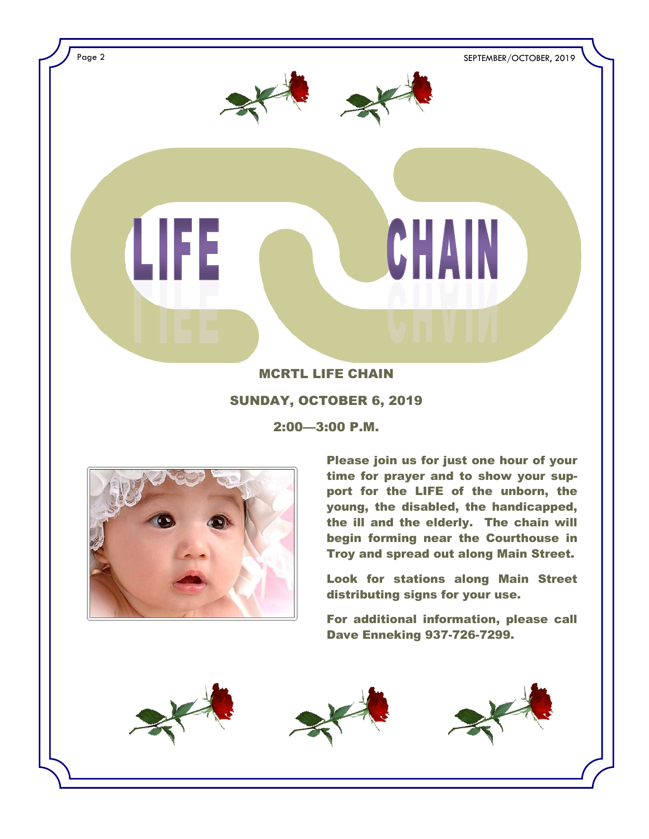

### SUNDAY, OCTOBER 6, 2019

2:00—3:00 P.M.



Please join us for just one hour of your time for prayer and to show your support for the LIFE of the unborn, the young, the disabled, the handicapped, the ill and the elderly. The chain will begin forming near the Courthouse in Troy and spread out along Main Street.

Look for stations along Main Street distributing signs for your use.

For additional information, please call Dave Enneking 937-726-7299.

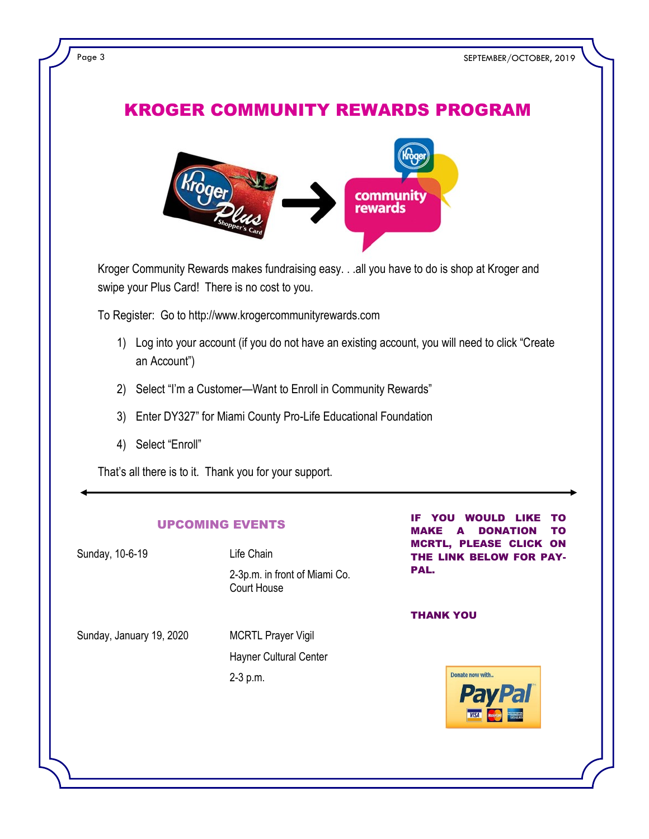## KROGER COMMUNITY REWARDS PROGRAM



Kroger Community Rewards makes fundraising easy. . .all you have to do is shop at Kroger and swipe your Plus Card! There is no cost to you.

To Register: Go to http://www.krogercommunityrewards.com

- 1) Log into your account (if you do not have an existing account, you will need to click "Create an Account")
- 2) Select "I'm a Customer--Want to Enroll in Community Rewards"
- 3) Enter DY327" for Miami County Pro-Life Educational Foundation
- 4) Select "Enroll"

That's all there is to it. Thank you for your support.

#### UPCOMING EVENTS

| Sunday, 10-6-19          | Life Chain                                                             |
|--------------------------|------------------------------------------------------------------------|
|                          | 2-3p.m. in front of Miami Co.<br>Court House                           |
| Sunday, January 19, 2020 | <b>MCRTL Prayer Vigil</b><br><b>Hayner Cultural Center</b><br>2-3 p.m. |

YOU WOULD LIKE TO MAKE A DONATION TO MCRTL, PLEASE CLICK ON THE LINK BELOW FOR PAY-PAL.

THANK YOU